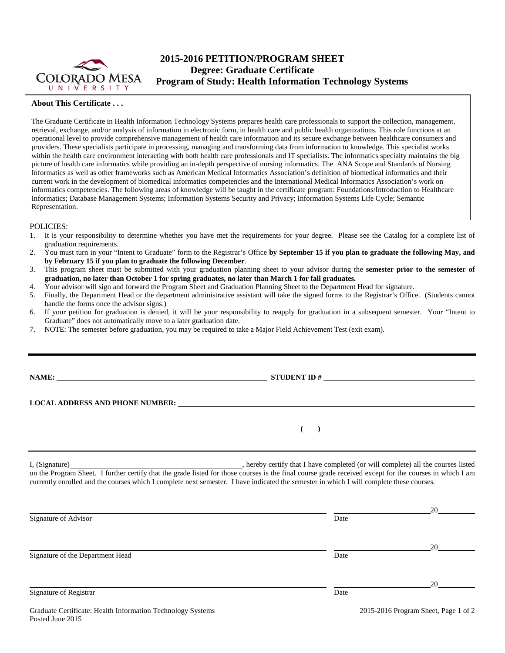

# **2015-2016 PETITION/PROGRAM SHEET Degree: Graduate Certificate Program of Study: Health Information Technology Systems**

## **About This Certificate . . .**

The Graduate Certificate in Health Information Technology Systems prepares health care professionals to support the collection, management, retrieval, exchange, and/or analysis of information in electronic form, in health care and public health organizations. This role functions at an operational level to provide comprehensive management of health care information and its secure exchange between healthcare consumers and providers. These specialists participate in processing, managing and transforming data from information to knowledge. This specialist works within the health care environment interacting with both health care professionals and IT specialists. The informatics specialty maintains the big picture of health care informatics while providing an in-depth perspective of nursing informatics. The ANA Scope and Standards of Nursing Informatics as well as other frameworks such as American Medical Informatics Association's definition of biomedical informatics and their current work in the development of biomedical informatics competencies and the International Medical Informatics Association's work on informatics competencies. The following areas of knowledge will be taught in the certificate program: Foundations/Introduction to Healthcare Informatics; Database Management Systems; Information Systems Security and Privacy; Information Systems Life Cycle; Semantic Representation.

### POLICIES:

- 1. It is your responsibility to determine whether you have met the requirements for your degree. Please see the Catalog for a complete list of graduation requirements.
- 2. You must turn in your "Intent to Graduate" form to the Registrar's Office **by September 15 if you plan to graduate the following May, and by February 15 if you plan to graduate the following December**.
- 3. This program sheet must be submitted with your graduation planning sheet to your advisor during the **semester prior to the semester of graduation, no later than October 1 for spring graduates, no later than March 1 for fall graduates.**
- 4. Your advisor will sign and forward the Program Sheet and Graduation Planning Sheet to the Department Head for signature.
- 5. Finally, the Department Head or the department administrative assistant will take the signed forms to the Registrar's Office. (Students cannot handle the forms once the advisor signs.)
- 6. If your petition for graduation is denied, it will be your responsibility to reapply for graduation in a subsequent semester. Your "Intent to Graduate" does not automatically move to a later graduation date.
- 7. NOTE: The semester before graduation, you may be required to take a Major Field Achievement Test (exit exam).

**NAME: STUDENT ID #**

**( )** 

## **LOCAL ADDRESS AND PHONE NUMBER:**

I, (Signature) , hereby certify that I have completed (or will complete) all the courses listed on the Program Sheet. I further certify that the grade listed for those courses is the final course grade received except for the courses in which I am currently enrolled and the courses which I complete next semester. I have indicated the semester in which I will complete these courses.

|                                                                           |      | 20                                              |
|---------------------------------------------------------------------------|------|-------------------------------------------------|
| Signature of Advisor                                                      | Date |                                                 |
|                                                                           |      | 20                                              |
| Signature of the Department Head                                          | Date |                                                 |
|                                                                           |      | 20                                              |
| Signature of Registrar                                                    | Date |                                                 |
| $C = 1$ , $C = 10$ , $T = 10$ , $T = 10$ , $T = 10$ , $T = 10$ , $T = 10$ |      | $\alpha$ $\alpha$ $\alpha$<br>$0.1501 \times R$ |